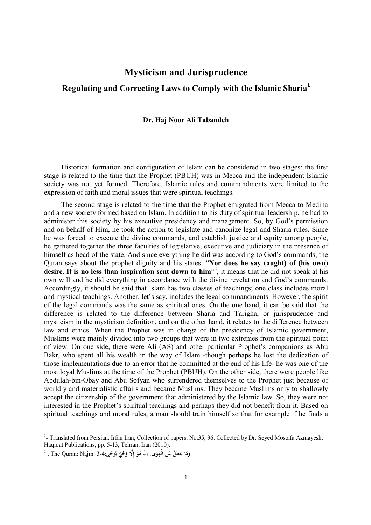## **Mysticism and Jurisprudence**

## **Regulating and Correcting Laws to Comply with the Islamic Sharia<sup>1</sup>**

## **Dr. Haj Noor Ali Tabandeh**

Historical formation and configuration of Islam can be considered in two stages: the first stage is related to the time that the Prophet (PBUH) was in Mecca and the independent Islamic society was not yet formed. Therefore, Islamic rules and commandments were limited to the expression of faith and moral issues that were spiritual teachings.

The second stage is related to the time that the Prophet emigrated from Mecca to Medina and a new society formed based on Islam. In addition to his duty of spiritual leadership, he had to administer this society by his executive presidency and management. So, by God's permission and on behalf of Him, he took the action to legislate and canonize legal and Sharia rules. Since he was forced to execute the divine commands, and establish justice and equity among people, he gathered together the three faculties of legislative, executive and judiciary in the presence of himself as head of the state. And since everything he did was according to God's commands, the Quran says about the prophet dignity and his states: "**Nor does he say (aught) of (his own) desire. It is no less than inspiration sent down to him**" 2 , it means that he did not speak at his own will and he did everything in accordance with the divine revelation and God's commands. Accordingly, it should be said that Islam has two classes of teachings; one class includes moral and mystical teachings. Another, let's say, includes the legal commandments. However, the spirit of the legal commands was the same as spiritual ones. On the one hand, it can be said that the difference is related to the difference between Sharia and Tarigha, or jurisprudence and mysticism in the mysticism definition, and on the other hand, it relates to the difference between law and ethics. When the Prophet was in charge of the presidency of Islamic government, Muslims were mainly divided into two groups that were in two extremes from the spiritual point of view. On one side, there were Ali (AS) and other particular Prophet's companions as Abu Bakr, who spent all his wealth in the way of Islam -though perhaps he lost the dedication of those implementations due to an error that he committed at the end of his life- he was one of the most loyal Muslims at the time of the Prophet (PBUH). On the other side, there were people like Abdulah-bin-Obay and Abu Sofyan who surrendered themselves to the Prophet just because of worldly and materialistic affairs and became Muslims. They became Muslims only to shallowly accept the citizenship of the government that administered by the Islamic law. So, they were not interested in the Prophet's spiritual teachings and perhaps they did not benefit from it. Based on spiritual teachings and moral rules, a man should train himself so that for example if he finds a

<sup>&</sup>lt;sup>1</sup> Translated from Persian. Irfan Iran, Collection of papers, No.35, 36. Collected by Dr. Seyed Mostafa Azmayesh, Haqiqat Publications, pp. 5-13, Tehran, Iran (2010).

 $^2$  . The Quran: Najm: 3-4: فَوَ إِلَّا وَحْيٌ يُوحَى:3-3 . The Quran: Najm: 3-4 **َ َ َ َ َ إ َ َ ي**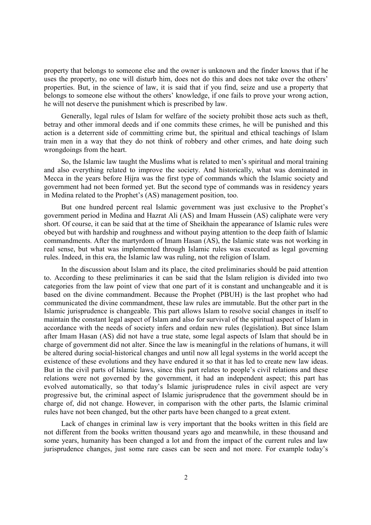property that belongs to someone else and the owner is unknown and the finder knows that if he uses the property, no one will disturb him, does not do this and does not take over the others' properties. But, in the science of law, it is said that if you find, seize and use a property that belongs to someone else without the others' knowledge, if one fails to prove your wrong action, he will not deserve the punishment which is prescribed by law.

Generally, legal rules of Islam for welfare of the society prohibit those acts such as theft, betray and other immoral deeds and if one commits these crimes, he will be punished and this action is a deterrent side of committing crime but, the spiritual and ethical teachings of Islam train men in a way that they do not think of robbery and other crimes, and hate doing such wrongdoings from the heart.

So, the Islamic law taught the Muslims what is related to men's spiritual and moral training and also everything related to improve the society. And historically, what was dominated in Mecca in the years before Hijra was the first type of commands which the Islamic society and government had not been formed yet. But the second type of commands was in residency years in Medina related to the Prophet's (AS) management position, too.

But one hundred percent real Islamic government was just exclusive to the Prophet's government period in Medina and Hazrat Ali (AS) and Imam Hussein (AS) caliphate were very short. Of course, it can be said that at the time of Sheikhain the appearance of Islamic rules were obeyed but with hardship and roughness and without paying attention to the deep faith of Islamic commandments. After the martyrdom of Imam Hasan (AS), the Islamic state was not working in real sense, but what was implemented through Islamic rules was executed as legal governing rules. Indeed, in this era, the Islamic law was ruling, not the religion of Islam.

In the discussion about Islam and its place, the cited preliminaries should be paid attention to. According to these preliminaries it can be said that the Islam religion is divided into two categories from the law point of view that one part of it is constant and unchangeable and it is based on the divine commandment. Because the Prophet (PBUH) is the last prophet who had communicated the divine commandment, these law rules are immutable. But the other part in the Islamic jurisprudence is changeable. This part allows Islam to resolve social changes in itself to maintain the constant legal aspect of Islam and also for survival of the spiritual aspect of Islam in accordance with the needs of society infers and ordain new rules (legislation). But since Islam after Imam Hasan (AS) did not have a true state, some legal aspects of Islam that should be in charge of government did not alter. Since the law is meaningful in the relations of humans, it will be altered during social-historical changes and until now all legal systems in the world accept the existence of these evolutions and they have endured it so that it has led to create new law ideas. But in the civil parts of Islamic laws, since this part relates to people's civil relations and these relations were not governed by the government, it had an independent aspect; this part has evolved automatically, so that today's Islamic jurisprudence rules in civil aspect are very progressive but, the criminal aspect of Islamic jurisprudence that the government should be in charge of, did not change. However, in comparison with the other parts, the Islamic criminal rules have not been changed, but the other parts have been changed to a great extent.

Lack of changes in criminal law is very important that the books written in this field are not different from the books written thousand years ago and meanwhile, in these thousand and some years, humanity has been changed a lot and from the impact of the current rules and law jurisprudence changes, just some rare cases can be seen and not more. For example today's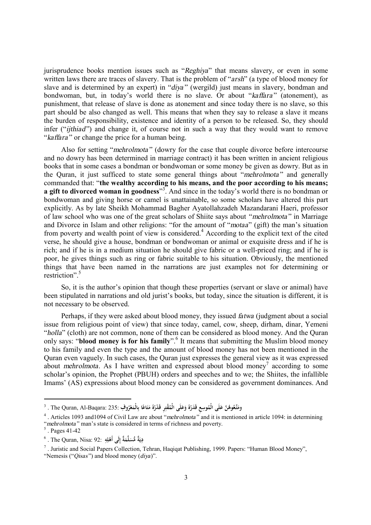jurisprudence books mention issues such as "*Reghiya*" that means slavery, or even in some written laws there are traces of slavery. That is the problem of "*arsh*" (a type of blood money for slave and is determined by an expert) in "*diya"* (wergild) just means in slavery, bondman and bondwoman, but, in today's world there is no slave. Or about "*kaffara"* (atonement), as punishment, that release of slave is done as atonement and since today there is no slave, so this part should be also changed as well. This means that when they say to release a slave it means the burden of responsibility, existence and identity of a person to be released. So, they should infer ("*ijthiad"*) and change it, of course not in such a way that they would want to remove "*kaffara"* or change the price for a human being.

Also for setting "*mehrolmota"* (dowry for the case that couple divorce before intercourse and no dowry has been determined in marriage contract) it has been written in ancient religious books that in some cases a bondman or bondwoman or some money be given as dowry. But as in the Quran, it just sufficed to state some general things about "*mehrolmota"* and generally commanded that: "**the wealthy according to his means, and the poor according to his means; a gift to divorced woman in goodness**" 3 . And since in the today's world there is no bondman or bondwoman and giving horse or camel is unattainable, so some scholars have altered this part explicitly. As by late Sheikh Mohammad Bagher Ayatollahzadeh Mazandarani Haeri, professor of law school who was one of the great scholars of Shiite says about *"mehrolmota"* in Marriage and Divorce in Islam and other religions: "for the amount of "*motaa*" (gift) the man's situation from poverty and wealth point of view is considered.<sup>4</sup> According to the explicit text of the cited verse, he should give a house, bondman or bondwoman or animal or exquisite dress and if he is rich; and if he is in a medium situation he should give fabric or a well-priced ring; and if he is poor, he gives things such as ring or fabric suitable to his situation. Obviously, the mentioned things that have been named in the narrations are just examples not for determining or restriction". 5

So, it is the author's opinion that though these properties (servant or slave or animal) have been stipulated in narrations and old jurist's books, but today, since the situation is different, it is not necessary to be observed.

Perhaps, if they were asked about blood money, they issued *fatwa* (judgment about a social issue from religious point of view) that since today, camel, cow, sheep, dirham, dinar, Yemeni "*holla*" (cloth) are not common, none of them can be considered as blood money. And the Quran only says: "**blood money is for his family**". 6 It means that submitting the Muslim blood money to his family and even the type and the amount of blood money has not been mentioned in the Quran even vaguely. In such cases, the Quran just expresses the general view as it was expressed about *mehrolmota*. As I have written and expressed about blood money<sup>7</sup> according to some scholar's opinion, the Prophet (PBUH) orders and speeches and to we; the Shiites, the infallible Imams' (AS) expressions about blood money can be considered as government dominances. And

 $\overline{a}$ 

وَمَتِّعُوهُنَّ عَلَى الْمُوسِعِ قَدَرُهُ وَعَلَى الْمُقْتِرِ قَدْرُهُ مَتَاعًا بِالْمَعْرُوفِ :The Quran, Al-Baqara: 235 .<br>م **َ ً َ َ ِ َ َ َ َ**

<sup>4</sup> . Articles 1093 and1094 of Civil Law are about "*mehrolmota"* and it is mentioned in article 1094: in determining "*mehrolmota"* man's state is considered in terms of richness and poverty. 5 . Pages 41-42

<sup>6</sup> . The Quran, Nisa: 92: **ه ل لَى أَه ةٌ إ لَّم ةٌ ُّمس دِ ِ ِ ْ ِ َ َ َ ي**

<sup>&</sup>lt;sup>7</sup>. Juristic and Social Papers Collection, Tehran, Haqiqat Publishing, 1999. Papers: "Human Blood Money", "Nemesis ("*Qisas"* ) and blood money (*diya*)".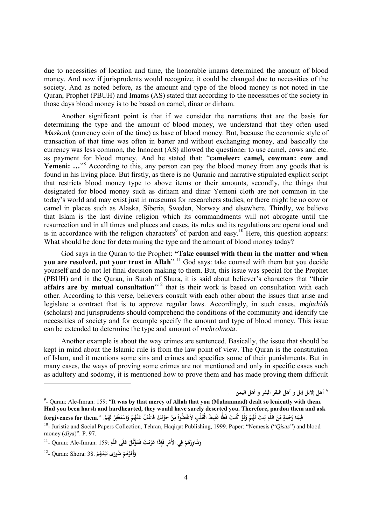due to necessities of location and time, the honorable imams determined the amount of blood money. And now if jurisprudents would recognize, it could be changed due to necessities of the society. And as noted before, as the amount and type of the blood money is not noted in the Quran, Prophet (PBUH) and Imams (AS) stated that according to the necessities of the society in those days blood money is to be based on camel, dinar or dirham.

Another significant point is that if we consider the narrations that are the basis for determining the type and the amount of blood money, we understand that they often used *Maskook* (currency coin of the time) as base of blood money. But, because the economic style of transaction of that time was often in barter and without exchanging money, and basically the currency was less common, the Innocent (AS) allowed the questioner to use camel, cows and etc. as payment for blood money. And he stated that: "**cameleer: camel, cowman: cow and**  Yemeni: ...<sup>38</sup> According to this, any person can pay the blood money from any goods that is found in his living place. But firstly, as there is no Quranic and narrative stipulated explicit script that restricts blood money type to above items or their amounts, secondly, the things that designated for blood money such as dirham and dinar Yemeni cloth are not common in the today's world and may exist just in museums for researchers studies, or there might be no cow or camel in places such as Alaska, Siberia, Sweden, Norway and elsewhere. Thirdly, we believe that Islam is the last divine religion which its commandments will not abrogate until the resurrection and in all times and places and cases, its rules and its regulations are operational and is in accordance with the religion characters<sup>9</sup> of pardon and easy.<sup>10</sup> Here, this question appears: What should be done for determining the type and the amount of blood money today?

God says in the Quran to the Prophet: **"Take counsel with them in the matter and when you are resolved, put your trust in Allah**". <sup>11</sup> God says: take counsel with them but you decide yourself and do not let final decision making to them. But, this issue was special for the Prophet (PBUH) and in the Quran, in Surah of Shura, it is said about believer's characters that "**their affairs are by mutual consultation**" <sup>12</sup> that is their work is based on consultation with each other. According to this verse, believers consult with each other about the issues that arise and legislate a contract that is to approve regular laws. Accordingly, in such cases, *mojtahids* (scholars) and jurisprudents should comprehend the conditions of the community and identify the necessities of society and for example specify the amount and type of blood money. This issue can be extended to determine the type and amount of *mehrolmota*.

Another example is about the way crimes are sentenced. Basically, the issue that should be kept in mind about the Islamic rule is from the law point of view. The Quran is the constitution of Islam, and it mentions some sins and crimes and specifies some of their punishments. But in many cases, the ways of proving some crimes are not mentioned and only in specific cases such as adultery and sodomy, it is mentioned how to prove them and has made proving them difficult

**٨ أهل إلابل إبل و أهل البقر البقر و أهل اليمن ...**

 $\overline{a}$ 

<sup>9</sup> - Quran: Ale-Imran: 159: "**It was by that mercy of Allah that you (Muhammad) dealt so leniently with them. Had you been harsh and hardhearted, they would have surely deserted you. Therefore, pardon them and ask**  فَبِمَا رَحْمَةٍ مِّنَ اللَّهِ لِنتَ لَهُمْ وَلَوْ كُنتَ فَظًّا غَلِيظَ الْقَلْبِ لاَنفَضُّواْ مِنْ حَوْلِكَ فَاعْفُ عَنْهُمْ وَاسْتَغْفِرْ لَهُمْ. ''.forgiveness for them<br>ا **َ ِ ٍ َ َ ِ َ ِ ل ْ ْ َ َ ِ ْ ِ ِ ل ْ ْ َ ْ ِ َ ْ َ ْ**

<sup>&</sup>lt;sup>10</sup>- Juristic and Social Papers Collection, Tehran, Haqiqat Publishing, 1999. Paper: "Nemesis ("*Qisas*") and blood money (*diya*)". P. 97.

وَشَاوِرْهُمْ فِي الأَمْرِ فَإِذَا عَزَمْتَ فَتَوَكَّلْ عَلَى اللَّهِ :159 :Quran: Ale-Imran: 159 -**ْ ْ َ ِ ْ َ ْ َ َ ِ**

<sup>12</sup> - Quran: Shora: 38. **ُم َه نـ يـ َى بـ ُشور ُم ه ُ ر أَم وْ ْ َ ْ ْ َ**